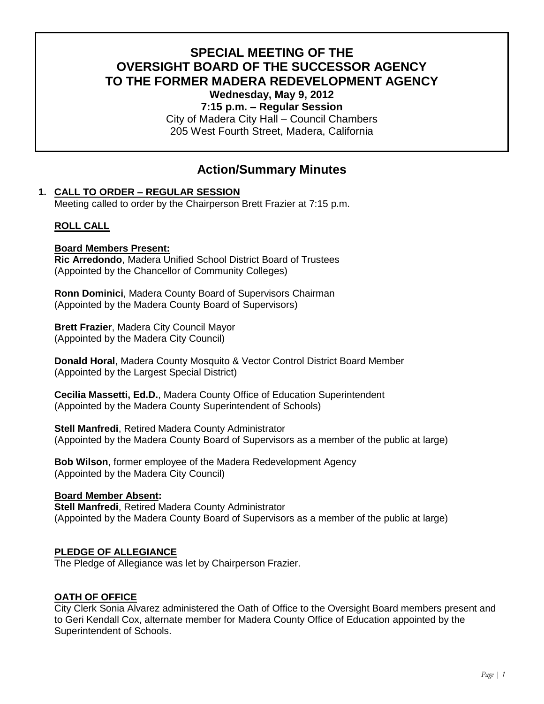# **SPECIAL MEETING OF THE OVERSIGHT BOARD OF THE SUCCESSOR AGENCY TO THE FORMER MADERA REDEVELOPMENT AGENCY**

**Wednesday, May 9, 2012**

**7:15 p.m. – Regular Session** City of Madera City Hall – Council Chambers 205 West Fourth Street, Madera, California

## **Action/Summary Minutes**

## **1. CALL TO ORDER – REGULAR SESSION**

Meeting called to order by the Chairperson Brett Frazier at 7:15 p.m.

## **ROLL CALL**

## **Board Members Present:**

**Ric Arredondo**, Madera Unified School District Board of Trustees (Appointed by the Chancellor of Community Colleges)

**Ronn Dominici**, Madera County Board of Supervisors Chairman (Appointed by the Madera County Board of Supervisors)

**Brett Frazier**, Madera City Council Mayor (Appointed by the Madera City Council)

**Donald Horal**, Madera County Mosquito & Vector Control District Board Member (Appointed by the Largest Special District)

**Cecilia Massetti, Ed.D.**, Madera County Office of Education Superintendent (Appointed by the Madera County Superintendent of Schools)

**Stell Manfredi**, Retired Madera County Administrator (Appointed by the Madera County Board of Supervisors as a member of the public at large)

**Bob Wilson**, former employee of the Madera Redevelopment Agency (Appointed by the Madera City Council)

## **Board Member Absent:**

**Stell Manfredi**, Retired Madera County Administrator (Appointed by the Madera County Board of Supervisors as a member of the public at large)

## **PLEDGE OF ALLEGIANCE**

The Pledge of Allegiance was let by Chairperson Frazier.

## **OATH OF OFFICE**

City Clerk Sonia Alvarez administered the Oath of Office to the Oversight Board members present and to Geri Kendall Cox, alternate member for Madera County Office of Education appointed by the Superintendent of Schools.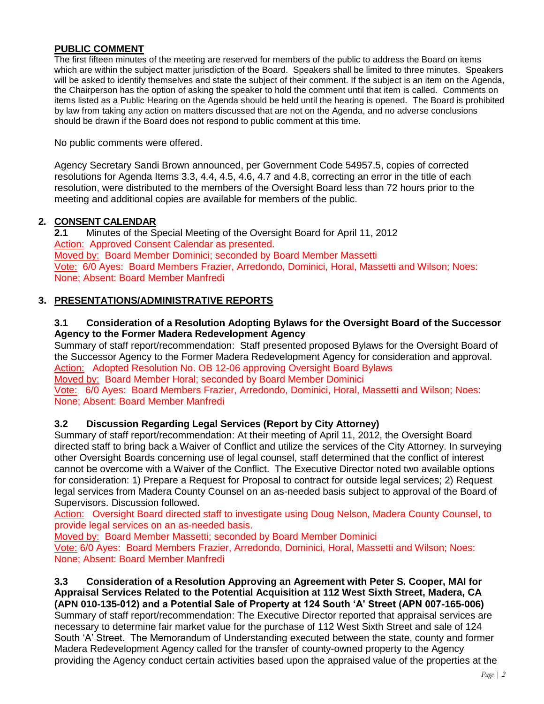## **PUBLIC COMMENT**

The first fifteen minutes of the meeting are reserved for members of the public to address the Board on items which are within the subject matter jurisdiction of the Board. Speakers shall be limited to three minutes. Speakers will be asked to identify themselves and state the subject of their comment. If the subject is an item on the Agenda, the Chairperson has the option of asking the speaker to hold the comment until that item is called. Comments on items listed as a Public Hearing on the Agenda should be held until the hearing is opened. The Board is prohibited by law from taking any action on matters discussed that are not on the Agenda, and no adverse conclusions should be drawn if the Board does not respond to public comment at this time.

No public comments were offered.

Agency Secretary Sandi Brown announced, per Government Code 54957.5, copies of corrected resolutions for Agenda Items 3.3, 4.4, 4.5, 4.6, 4.7 and 4.8, correcting an error in the title of each resolution, were distributed to the members of the Oversight Board less than 72 hours prior to the meeting and additional copies are available for members of the public.

#### **2. CONSENT CALENDAR**

**2.1** Minutes of the Special Meeting of the Oversight Board for April 11, 2012 Action: Approved Consent Calendar as presented. Moved by: Board Member Dominici; seconded by Board Member Massetti Vote: 6/0 Ayes: Board Members Frazier, Arredondo, Dominici, Horal, Massetti and Wilson; Noes: None; Absent: Board Member Manfredi

## **3. PRESENTATIONS/ADMINISTRATIVE REPORTS**

## **3.1 Consideration of a Resolution Adopting Bylaws for the Oversight Board of the Successor Agency to the Former Madera Redevelopment Agency**

Summary of staff report/recommendation: Staff presented proposed Bylaws for the Oversight Board of the Successor Agency to the Former Madera Redevelopment Agency for consideration and approval. Action: Adopted Resolution No. OB 12-06 approving Oversight Board Bylaws Moved by: Board Member Horal; seconded by Board Member Dominici

Vote: 6/0 Ayes: Board Members Frazier, Arredondo, Dominici, Horal, Massetti and Wilson; Noes: None; Absent: Board Member Manfredi

## **3.2 Discussion Regarding Legal Services (Report by City Attorney)**

Summary of staff report/recommendation: At their meeting of April 11, 2012, the Oversight Board directed staff to bring back a Waiver of Conflict and utilize the services of the City Attorney. In surveying other Oversight Boards concerning use of legal counsel, staff determined that the conflict of interest cannot be overcome with a Waiver of the Conflict. The Executive Director noted two available options for consideration: 1) Prepare a Request for Proposal to contract for outside legal services; 2) Request legal services from Madera County Counsel on an as-needed basis subject to approval of the Board of Supervisors. Discussion followed.

Action: Oversight Board directed staff to investigate using Doug Nelson, Madera County Counsel, to provide legal services on an as-needed basis.

Moved by: Board Member Massetti; seconded by Board Member Dominici

Vote: 6/0 Ayes: Board Members Frazier, Arredondo, Dominici, Horal, Massetti and Wilson; Noes: None; Absent: Board Member Manfredi

**3.3 Consideration of a Resolution Approving an Agreement with Peter S. Cooper, MAI for Appraisal Services Related to the Potential Acquisition at 112 West Sixth Street, Madera, CA (APN 010-135-012) and a Potential Sale of Property at 124 South 'A' Street (APN 007-165-006)** Summary of staff report/recommendation: The Executive Director reported that appraisal services are necessary to determine fair market value for the purchase of 112 West Sixth Street and sale of 124 South 'A' Street. The Memorandum of Understanding executed between the state, county and former Madera Redevelopment Agency called for the transfer of county-owned property to the Agency providing the Agency conduct certain activities based upon the appraised value of the properties at the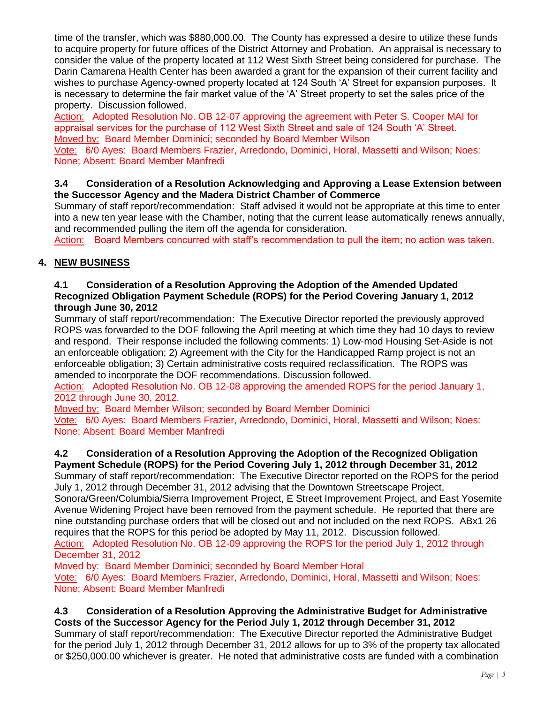time of the transfer, which was \$880,000.00. The County has expressed a desire to utilize these funds to acquire property for future offices of the District Attorney and Probation. An appraisal is necessary to consider the value of the property located at 112 West Sixth Street being considered for purchase. The Darin Camarena Health Center has been awarded a grant for the expansion of their current facility and wishes to purchase Agency-owned property located at 124 South 'A' Street for expansion purposes. It is necessary to determine the fair market value of the 'A' Street property to set the sales price of the property. Discussion followed.

Action: Adopted Resolution No. OB 12-07 approving the agreement with Peter S. Cooper MAI for appraisal services for the purchase of 112 West Sixth Street and sale of 124 South 'A' Street. Moved by: Board Member Dominici; seconded by Board Member Wilson

Vote: 6/0 Ayes: Board Members Frazier, Arredondo, Dominici, Horal, Massetti and Wilson; Noes: None; Absent: Board Member Manfredi

## **3.4 Consideration of a Resolution Acknowledging and Approving a Lease Extension between the Successor Agency and the Madera District Chamber of Commerce**

Summary of staff report/recommendation: Staff advised it would not be appropriate at this time to enter into a new ten year lease with the Chamber, noting that the current lease automatically renews annually, and recommended pulling the item off the agenda for consideration.

Action: Board Members concurred with staff's recommendation to pull the item; no action was taken.

## **4. NEW BUSINESS**

## **4.1 Consideration of a Resolution Approving the Adoption of the Amended Updated Recognized Obligation Payment Schedule (ROPS) for the Period Covering January 1, 2012 through June 30, 2012**

Summary of staff report/recommendation: The Executive Director reported the previously approved ROPS was forwarded to the DOF following the April meeting at which time they had 10 days to review and respond. Their response included the following comments: 1) Low-mod Housing Set-Aside is not an enforceable obligation; 2) Agreement with the City for the Handicapped Ramp project is not an enforceable obligation; 3) Certain administrative costs required reclassification. The ROPS was amended to incorporate the DOF recommendations. Discussion followed.

Action: Adopted Resolution No. OB 12-08 approving the amended ROPS for the period January 1, 2012 through June 30, 2012.

Moved by: Board Member Wilson; seconded by Board Member Dominici

Vote: 6/0 Ayes: Board Members Frazier, Arredondo, Dominici, Horal, Massetti and Wilson; Noes: None; Absent: Board Member Manfredi

#### **4.2 Consideration of a Resolution Approving the Adoption of the Recognized Obligation Payment Schedule (ROPS) for the Period Covering July 1, 2012 through December 31, 2012**

Summary of staff report/recommendation: The Executive Director reported on the ROPS for the period July 1, 2012 through December 31, 2012 advising that the Downtown Streetscape Project,

Sonora/Green/Columbia/Sierra Improvement Project, E Street Improvement Project, and East Yosemite Avenue Widening Project have been removed from the payment schedule. He reported that there are nine outstanding purchase orders that will be closed out and not included on the next ROPS. ABx1 26 requires that the ROPS for this period be adopted by May 11, 2012. Discussion followed.

Action: Adopted Resolution No. OB 12-09 approving the ROPS for the period July 1, 2012 through December 31, 2012

Moved by: Board Member Dominici; seconded by Board Member Horal

Vote: 6/0 Ayes: Board Members Frazier, Arredondo, Dominici, Horal, Massetti and Wilson; Noes: None; Absent: Board Member Manfredi

#### **4.3 Consideration of a Resolution Approving the Administrative Budget for Administrative Costs of the Successor Agency for the Period July 1, 2012 through December 31, 2012**

Summary of staff report/recommendation: The Executive Director reported the Administrative Budget for the period July 1, 2012 through December 31, 2012 allows for up to 3% of the property tax allocated or \$250,000.00 whichever is greater. He noted that administrative costs are funded with a combination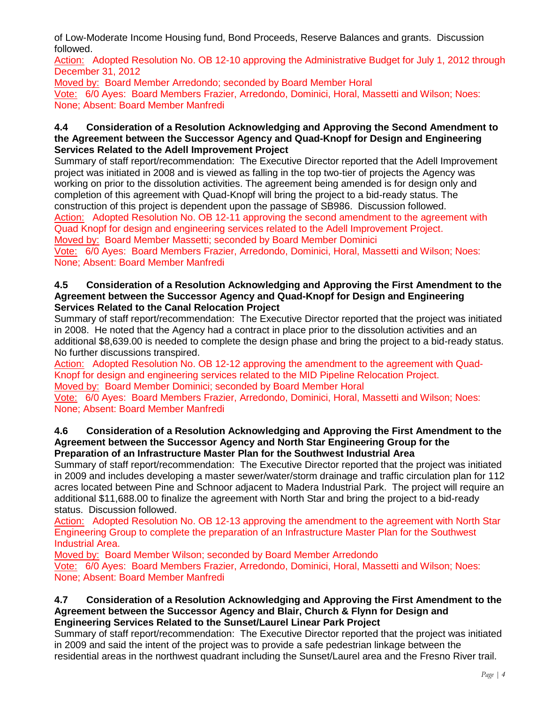of Low-Moderate Income Housing fund, Bond Proceeds, Reserve Balances and grants. Discussion followed.

Action: Adopted Resolution No. OB 12-10 approving the Administrative Budget for July 1, 2012 through December 31, 2012

Moved by: Board Member Arredondo; seconded by Board Member Horal

Vote: 6/0 Ayes: Board Members Frazier, Arredondo, Dominici, Horal, Massetti and Wilson; Noes: None; Absent: Board Member Manfredi

## **4.4 Consideration of a Resolution Acknowledging and Approving the Second Amendment to the Agreement between the Successor Agency and Quad-Knopf for Design and Engineering Services Related to the Adell Improvement Project**

Summary of staff report/recommendation: The Executive Director reported that the Adell Improvement project was initiated in 2008 and is viewed as falling in the top two-tier of projects the Agency was working on prior to the dissolution activities. The agreement being amended is for design only and completion of this agreement with Quad-Knopf will bring the project to a bid-ready status. The construction of this project is dependent upon the passage of SB986. Discussion followed. Action: Adopted Resolution No. OB 12-11 approving the second amendment to the agreement with

Quad Knopf for design and engineering services related to the Adell Improvement Project. Moved by: Board Member Massetti; seconded by Board Member Dominici

Vote: 6/0 Ayes: Board Members Frazier, Arredondo, Dominici, Horal, Massetti and Wilson; Noes: None; Absent: Board Member Manfredi

#### **4.5 Consideration of a Resolution Acknowledging and Approving the First Amendment to the Agreement between the Successor Agency and Quad-Knopf for Design and Engineering Services Related to the Canal Relocation Project**

Summary of staff report/recommendation: The Executive Director reported that the project was initiated in 2008. He noted that the Agency had a contract in place prior to the dissolution activities and an additional \$8,639.00 is needed to complete the design phase and bring the project to a bid-ready status. No further discussions transpired.

Action: Adopted Resolution No. OB 12-12 approving the amendment to the agreement with Quad-Knopf for design and engineering services related to the MID Pipeline Relocation Project.

Moved by: Board Member Dominici; seconded by Board Member Horal Vote: 6/0 Ayes: Board Members Frazier, Arredondo, Dominici, Horal, Massetti and Wilson; Noes:

None; Absent: Board Member Manfredi

## **4.6 Consideration of a Resolution Acknowledging and Approving the First Amendment to the Agreement between the Successor Agency and North Star Engineering Group for the Preparation of an Infrastructure Master Plan for the Southwest Industrial Area**

Summary of staff report/recommendation: The Executive Director reported that the project was initiated in 2009 and includes developing a master sewer/water/storm drainage and traffic circulation plan for 112 acres located between Pine and Schnoor adjacent to Madera Industrial Park. The project will require an additional \$11,688.00 to finalize the agreement with North Star and bring the project to a bid-ready status. Discussion followed.

Action: Adopted Resolution No. OB 12-13 approving the amendment to the agreement with North Star Engineering Group to complete the preparation of an Infrastructure Master Plan for the Southwest Industrial Area.

Moved by: Board Member Wilson; seconded by Board Member Arredondo

Vote: 6/0 Ayes: Board Members Frazier, Arredondo, Dominici, Horal, Massetti and Wilson; Noes: None; Absent: Board Member Manfredi

#### **4.7 Consideration of a Resolution Acknowledging and Approving the First Amendment to the Agreement between the Successor Agency and Blair, Church & Flynn for Design and Engineering Services Related to the Sunset/Laurel Linear Park Project**

Summary of staff report/recommendation: The Executive Director reported that the project was initiated in 2009 and said the intent of the project was to provide a safe pedestrian linkage between the residential areas in the northwest quadrant including the Sunset/Laurel area and the Fresno River trail.